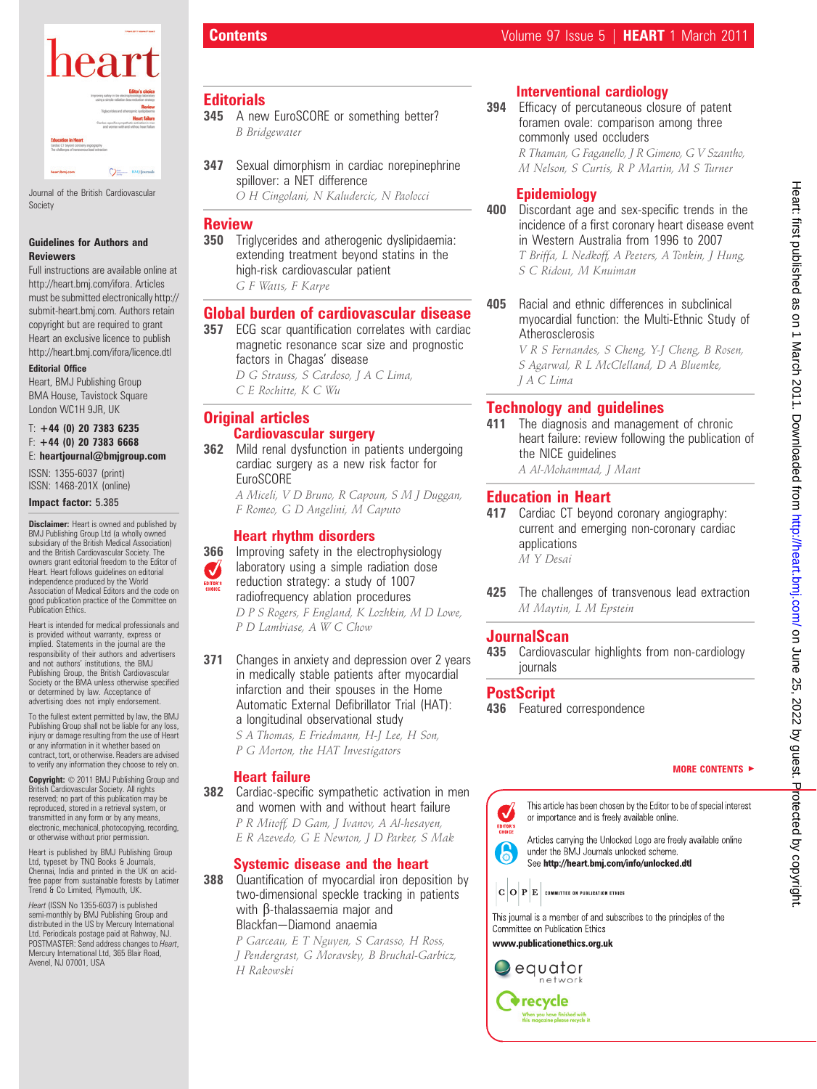

Journal of the British Cardiovascular Society

#### Guidelines for Authors and Reviewers

Full instructions are available online at http://heart.bmj.com/ifora. Articles must be submitted electronically http:// submit-heart.bmj.com. Authors retain copyright but are required to grant Heart an exclusive licence to publish http://heart.bmj.com/ifora/licence.dtl

### Editorial Office

Heart, BMJ Publishing Group BMA House, Tavistock Square London WC1H 9JR, UK

#### $T: +44$  (0) 20 7383 6235  $F: +44$  (0) 20 7383 6668 E: heartjournal@bmjgroup.com

ISSN: 1355-6037 (print) ISSN: 1468-201X (online)

#### Impact factor: 5.385

**Disclaimer:** Heart is owned and published by BMJ Publishing Group Ltd (a wholly owned subsidiary of the British Medical Association) and the British Cardiovascular Society. The owners grant editorial freedom to the Editor of Heart. Heart follows guidelines on editorial independence produced by the World Association of Medical Editors and the code on good publication practice of the Committee on Publication Ethics.

Heart is intended for medical professionals and is provided without warranty, express or implied. Statements in the journal are the responsibility of their authors and advertisers and not authors' institutions, the BMJ Publishing Group, the British Cardiovascular Society or the BMA unless otherwise specified or determined by law. Acceptance of advertising does not imply endorsement.

To the fullest extent permitted by law, the BMJ Publishing Group shall not be liable for any loss, injury or damage resulting from the use of Heart or any information in it whether based on contract, tort, or otherwise. Readers are advised to verify any information they choose to rely on.

Copyright:  $© 2011$  BMJ Publishing Group and British Cardiovascular Society. All rights reserved; no part of this publication may be reproduced, stored in a retrieval system, or transmitted in any form or by any means, electronic, mechanical, photocopying, recording, or otherwise without prior permission.

Heart is published by BMJ Publishing Group Ltd, typeset by TNQ Books & Journals, Chennai, India and printed in the UK on acidfree paper from sustainable forests by Latimer Trend & Co Limited, Plymouth, UK.

Heart (ISSN No 1355-6037) is published semi-monthly by BMJ Publishing Group and distributed in the US by Mercury International Ltd. Periodicals postage paid at Rahway, NJ. POSTMASTER: Send address changes to Heart, Mercury International Ltd, 365 Blair Road, Avenel, NJ 07001, USA

# **Editorials**

- 345 A new EuroSCORE or something better? B Bridgewater
- 347 Sexual dimorphism in cardiac norepinephrine spillover: a NET difference O H Cingolani, N Kaludercic, N Paolocci

## **Review**

350 Triglycerides and atherogenic dyslipidaemia: extending treatment beyond statins in the high-risk cardiovascular patient G F Watts, F Karpe

### Global burden of cardiovascular disease

- 357 ECG scar quantification correlates with cardiac magnetic resonance scar size and prognostic factors in Chagas' disease
	- D G Strauss, S Cardoso, J A C Lima, C E Rochitte, K C Wu

# Original articles Cardiovascular surgery

362 Mild renal dysfunction in patients undergoing cardiac surgery as a new risk factor for **EuroSCORE** 

A Miceli, V D Bruno, R Capoun, S M J Duggan, F Romeo, G D Angelini, M Caputo

# Heart rhythm disorders

- **366** Improving safety in the electrophysiology laboratory using a simple radiation dose  $\boldsymbol{J}$ reduction strategy: a study of 1007 radiofrequency ablation procedures D P S Rogers, F England, K Lozhkin, M D Lowe, P D Lambiase, A W C Chow
- **371** Changes in anxiety and depression over 2 years in medically stable patients after myocardial infarction and their spouses in the Home Automatic External Defibrillator Trial (HAT): a longitudinal observational study
	- S A Thomas, E Friedmann, H-J Lee, H Son, P G Morton, the HAT Investigators

### Heart failure

**382** Cardiac-specific sympathetic activation in men and women with and without heart failure P R Mitoff, D Gam, J Ivanov, A Al-hesayen, E R Azevedo, G E Newton, J D Parker, S Mak

# Systemic disease and the heart

388 Quantification of myocardial iron deposition by two-dimensional speckle tracking in patients with ß-thalassaemia major and Blackfan-Diamond anaemia

> P Garceau, E T Nguyen, S Carasso, H Ross, J Pendergrast, G Moravsky, B Bruchal-Garbicz, H Rakowski

# Interventional cardiology

394 Efficacy of percutaneous closure of patent foramen ovale: comparison among three commonly used occluders

> R Thaman, G Faganello, J R Gimeno, G V Szantho, M Nelson, S Curtis, R P Martin, M S Turner

## Epidemiology

- 400 Discordant age and sex-specific trends in the incidence of a first coronary heart disease event in Western Australia from 1996 to 2007 T Briffa, L Nedkoff, A Peeters, A Tonkin, J Hung, S C Ridout, M Knuiman
- 405 Racial and ethnic differences in subclinical myocardial function: the Multi-Ethnic Study of Atherosclerosis

V R S Fernandes, S Cheng, Y-J Cheng, B Rosen, S Agarwal, R L McClelland, D A Bluemke, J A C Lima

# Technology and guidelines

411 The diagnosis and management of chronic heart failure: review following the publication of the NICE guidelines

A Al-Mohammad, J Mant

# Education in Heart

- 417 Cardiac CT beyond coronary angiography: current and emerging non-coronary cardiac applications M Y Desai
- 425 The challenges of transvenous lead extraction M Maytin, L M Epstein

# **JournalScan**

435 Cardiovascular highlights from non-cardiology journals

# **PostScript**

436 Featured correspondence

#### **MORE CONTENTS ►**



This article has been chosen by the Editor to be of special interest or importance and is freely available online.

Articles carrying the Unlocked Logo are freely available online under the BMJ Journals unlocked scheme. See http://heart.bmj.com/info/unlocked.dtl

 $\vert \mathbf{C} \vert \mathbf{O} \vert \mathbf{P} \vert \mathbf{E} \vert$  committee on publication ethics

This journal is a member of and subscribes to the principles of the Committee on Publication Ethics

www.publicationethics.org.uk